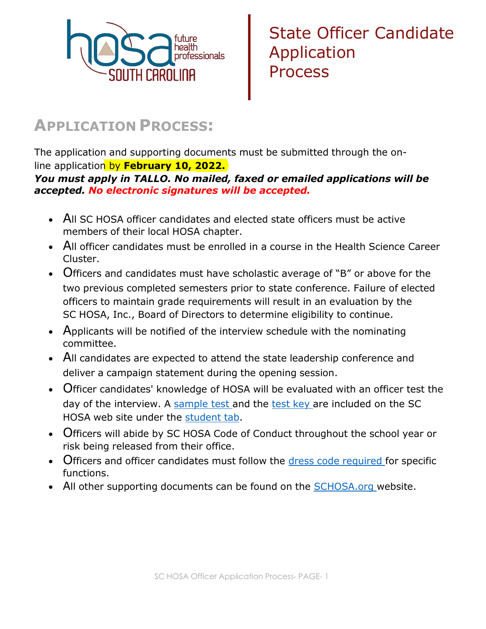

## **APPLICATION PROCESS:**

The application and supporting documents must be submitted through the online application by **February 10, 2022.**

## *You must apply in TALLO. No mailed, faxed or emailed applications will be accepted. No electronic signatures will be accepted.*

- All SC HOSA officer candidates and elected state officers must be active members of their local HOSA chapter.
- All officer candidates must be enrolled in a course in the Health Science Career Cluster.
- Officers and candidates must have scholastic average of "B" or above for the two previous completed semesters prior to state conference. Failure of elected officers to maintain grade requirements will result in an evaluation by the SC HOSA, Inc., Board of Directors to determine eligibility to continue.
- Applicants will be notified of the interview schedule with the nominating committee.
- All candidates are expected to attend the state leadership conference and deliver a campaign statement during the opening session.
- Officer candidates' knowledge of HOSA will be evaluated with an officer test the day of the interview. A [sample](http://www.schosa.org/wp-content/uploads/2021/11/STATE-OFFICER-EXAM.pdf) [test](http://www.schosa.org/wp-content/uploads/2017/10/Sample-Exam-Key-1.pdf) and the test key are included on the SC HOSA web site under the [student](http://www.schosa.org/students-3/#resources) tab.
- Officers will abide by SC HOSA Code of Conduct throughout the school year or risk being released from their office.
- Officers and officer candidates must follow the dress code [required](http://www.schosa.org/wp-content/uploads/2019/09/20-21_Travel_Rubric_DressCode_Travel-Policy.pdf) for specific functions.
- All other supporting documents can be found on the [SCHOSA.org](http://www.schosa.org/students-3/#resources) website.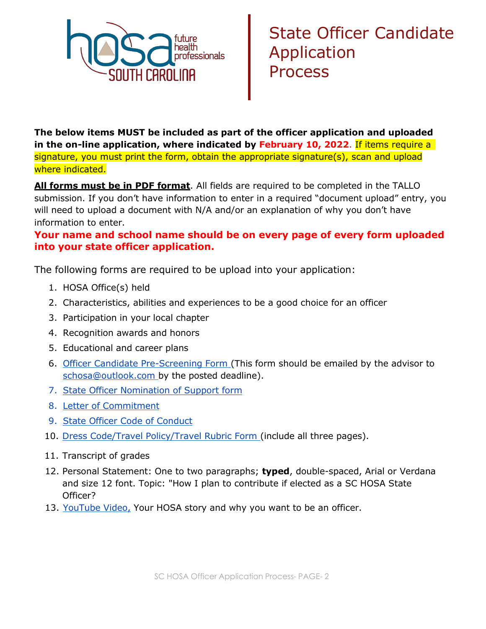

**The below items MUST be included as part of the officer application and uploaded in the on-line application, where indicated by February 10, 2022**. If items require a signature, you must print the form, obtain the appropriate signature(s), scan and upload where indicated.

**All forms must be in PDF format**. All fields are required to be completed in the TALLO submission. If you don't have information to enter in a required "document upload" entry, you will need to upload a document with N/A and/or an explanation of why you don't have information to enter.

## **Your name and school name should be on every page of every form uploaded into your state officer application.**

The following forms are required to be upload into your application:

- 1. HOSA Office(s) held
- 2. Characteristics, abilities and experiences to be a good choice for an officer
- 3. Participation in your local chapter
- 4. Recognition awards and honors
- 5. Educational and career plans
- 6. Officer [Candidate Pre-Screening](http://www.schosa.org/wp-content/uploads/2019/09/StateOfficerCandidateScreening_ADVISOR.pdf) Form (This form should be emailed by the advisor to [schosa@outlook.com b](mailto:schosa@outlook.com)y the posted deadline).
- 7. [State Officer](http://www.schosa.org/wp-content/uploads/2021/11/Support-form_2022.pdf) Nomination of Support form
- 8. Letter of [Commitment](http://www.schosa.org/wp-content/uploads/2017/11/Letter-of-Commitment.pdf)
- 9. [State Officer](http://www.schosa.org/wp-content/uploads/2017/11/Officer-Code-of-Conduct.pdf) Code of Conduct
- 10. Dress Code/Travel [Policy/Travel Rubric](http://www.schosa.org/wp-content/uploads/2021/11/2022-23_Travel_Rubric_DressCode_Travel-Policy11-26-21.pdf) Form (include all three pages).
- 11. Transcript of grades
- 12. Personal Statement: One to two paragraphs; **typed**, double-spaced, Arial or Verdana and size 12 font. Topic: "How I plan to contribute if elected as a SC HOSA State Officer?
- 13. [YouTube Video,](http://www.schosa.org/wp-content/uploads/2019/09/YouTubeInstructions.pdf) Your HOSA story and why you want to be an officer.